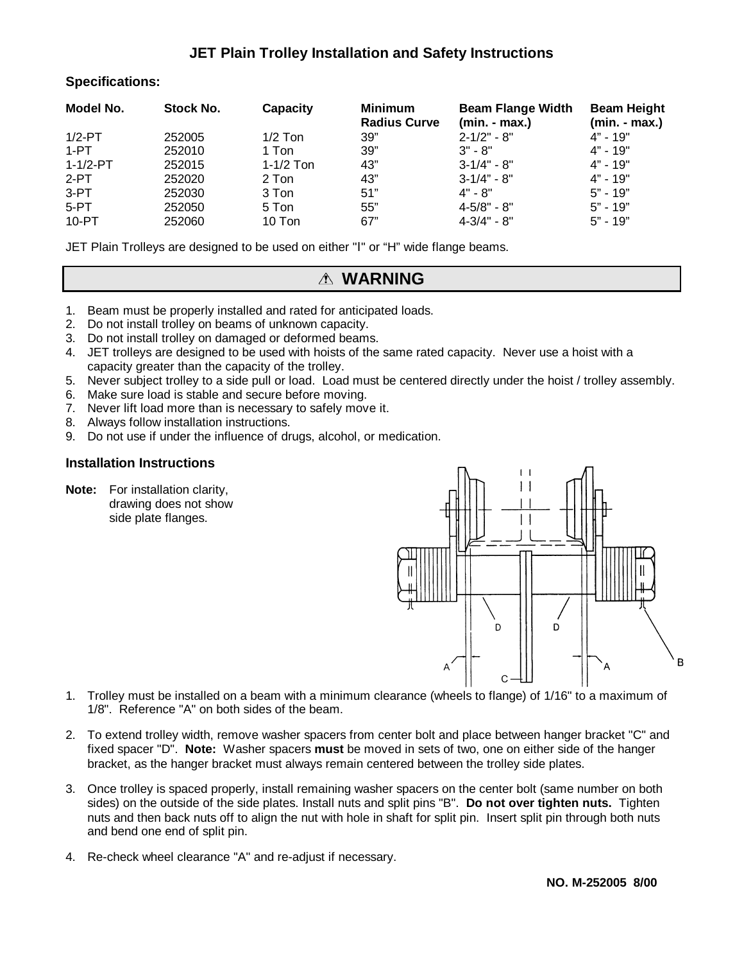## **JET Plain Trolley Installation and Safety Instructions**

### **Specifications:**

| Model No.      | Stock No. | Capacity    | <b>Minimum</b><br><b>Radius Curve</b> | <b>Beam Flange Width</b><br>$(min - max.)$ | <b>Beam Height</b><br>$(min - max.)$ |
|----------------|-----------|-------------|---------------------------------------|--------------------------------------------|--------------------------------------|
| $1/2$ -PT      | 252005    | $1/2$ Ton   | 39"                                   | $2 - 1/2" - 8"$                            | $4" - 19"$                           |
| 1-PT           | 252010    | 1 Ton       | 39"                                   | $3" - 8"$                                  | $4" - 19"$                           |
| $1 - 1/2 - PT$ | 252015    | $1-1/2$ Ton | 43"                                   | $3 - 1/4" - 8"$                            | $4" - 19"$                           |
| $2-PT$         | 252020    | 2 Ton       | 43"                                   | $3-1/4" - 8"$                              | $4" - 19"$                           |
| $3-PT$         | 252030    | 3 Ton       | 51"                                   | $4" - 8"$                                  | $5" - 19"$                           |
| $5-PT$         | 252050    | 5 Ton       | 55"                                   | $4 - 5/8" - 8"$                            | $5" - 19"$                           |
| 10-PT          | 252060    | 10 Ton      | 67"                                   | $4 - 3/4" - 8"$                            | $5" - 19"$                           |

JET Plain Trolleys are designed to be used on either "Ι" or "H" wide flange beams.

## **WARNING**

- 1. Beam must be properly installed and rated for anticipated loads.
- 2. Do not install trolley on beams of unknown capacity.
- 3. Do not install trolley on damaged or deformed beams.
- 4. JET trolleys are designed to be used with hoists of the same rated capacity. Never use a hoist with a capacity greater than the capacity of the trolley.
- 5. Never subject trolley to a side pull or load. Load must be centered directly under the hoist / trolley assembly.
- 6. Make sure load is stable and secure before moving.
- 7. Never lift load more than is necessary to safely move it.
- 8. Always follow installation instructions.
- 9. Do not use if under the influence of drugs, alcohol, or medication.

### **Installation Instructions**

**Note:** For installation clarity, drawing does not show side plate flanges.



- 1. Trolley must be installed on a beam with a minimum clearance (wheels to flange) of 1/16" to a maximum of 1/8". Reference "A" on both sides of the beam.
- 2. To extend trolley width, remove washer spacers from center bolt and place between hanger bracket "C" and fixed spacer "D". **Note:** Washer spacers **must** be moved in sets of two, one on either side of the hanger bracket, as the hanger bracket must always remain centered between the trolley side plates.
- 3. Once trolley is spaced properly, install remaining washer spacers on the center bolt (same number on both sides) on the outside of the side plates. Install nuts and split pins "B". **Do not over tighten nuts.** Tighten nuts and then back nuts off to align the nut with hole in shaft for split pin. Insert split pin through both nuts and bend one end of split pin.
- 4. Re-check wheel clearance "A" and re-adjust if necessary.